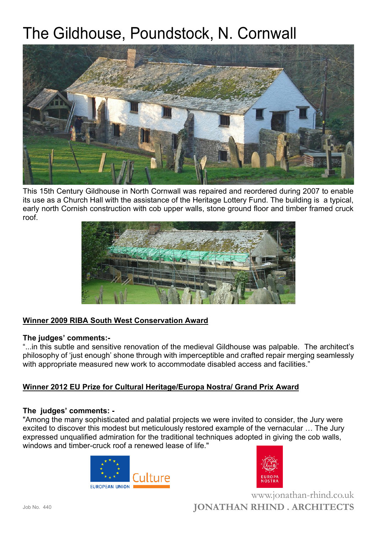# The Gildhouse, Poundstock, N. Cornwall



This 15th Century Gildhouse in North Cornwall was repaired and reordered during 2007 to enable its use as a Church Hall with the assistance of the Heritage Lottery Fund. The building is a typical, early north Cornish construction with cob upper walls, stone ground floor and timber framed cruck roof.



## **Winner 2009 RIBA South West Conservation Award**

#### **The judges' comments:-**

"...in this subtle and sensitive renovation of the medieval Gildhouse was palpable. The architect's philosophy of 'just enough' shone through with imperceptible and crafted repair merging seamlessly with appropriate measured new work to accommodate disabled access and facilities."

### **Winner 2012 EU Prize for Cultural Heritage/Europa Nostra/ Grand Prix Award**

#### **The judges' comments: -**

"Among the many sophisticated and palatial projects we were invited to consider, the Jury were excited to discover this modest but meticulously restored example of the vernacular … The Jury expressed unqualified admiration for the traditional techniques adopted in giving the cob walls, windows and timber-cruck roof a renewed lease of life."





**JONATHAN RHIND . ARCHITECTS** www.jonathan-rhind.co.uk